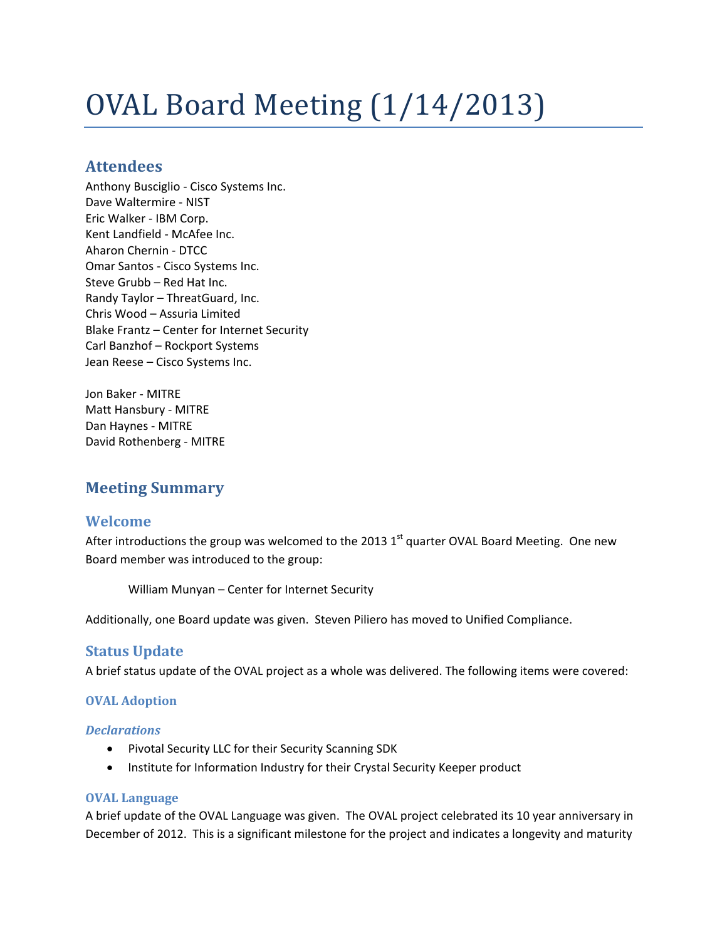# OVAL Board Meeting (1/14/2013)

# **Attendees**

Anthony Busciglio - Cisco Systems Inc. Dave Waltermire - NIST Eric Walker - IBM Corp. Kent Landfield - McAfee Inc. Aharon Chernin - DTCC Omar Santos - Cisco Systems Inc. Steve Grubb – Red Hat Inc. Randy Taylor – ThreatGuard, Inc. Chris Wood – Assuria Limited Blake Frantz – Center for Internet Security Carl Banzhof – Rockport Systems Jean Reese – Cisco Systems Inc.

Jon Baker - MITRE Matt Hansbury - MITRE Dan Haynes - MITRE David Rothenberg - MITRE

# **Meeting Summary**

## **Welcome**

After introductions the group was welcomed to the 2013  $1<sup>st</sup>$  quarter OVAL Board Meeting. One new Board member was introduced to the group:

William Munyan – Center for Internet Security

Additionally, one Board update was given. Steven Piliero has moved to Unified Compliance.

## **Status Update**

A brief status update of the OVAL project as a whole was delivered. The following items were covered:

#### **OVAL Adoption**

#### *Declarations*

- Pivotal Security LLC for their Security Scanning SDK
- Institute for Information Industry for their Crystal Security Keeper product

#### **OVAL Language**

A brief update of the OVAL Language was given. The OVAL project celebrated its 10 year anniversary in December of 2012. This is a significant milestone for the project and indicates a longevity and maturity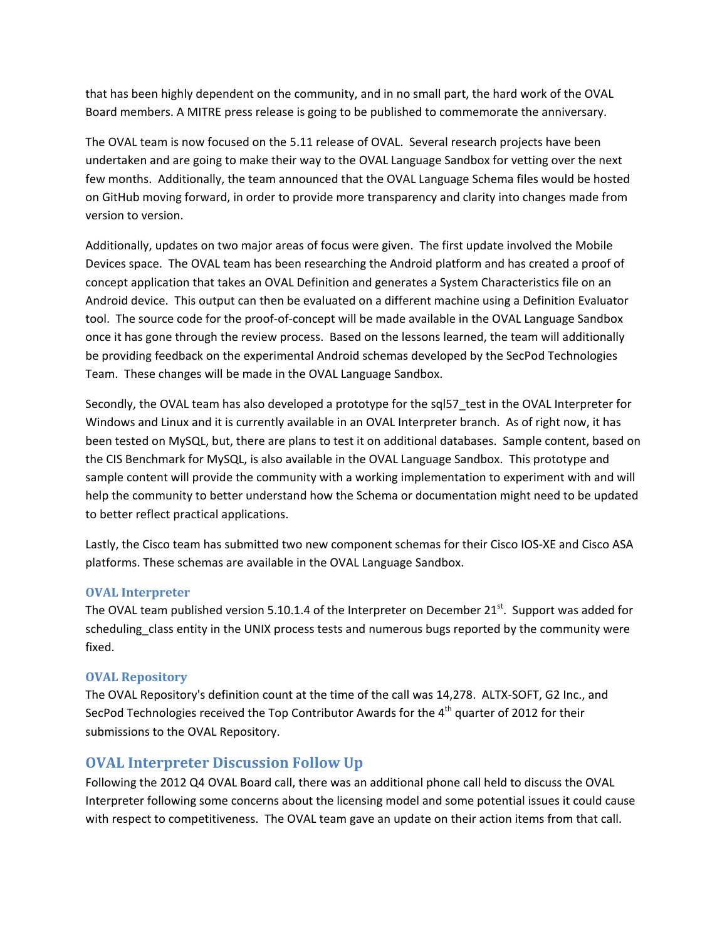that has been highly dependent on the community, and in no small part, the hard work of the OVAL Board members. A MITRE press release is going to be published to commemorate the anniversary.

The OVAL team is now focused on the 5.11 release of OVAL. Several research projects have been undertaken and are going to make their way to the OVAL Language Sandbox for vetting over the next few months. Additionally, the team announced that the OVAL Language Schema files would be hosted on GitHub moving forward, in order to provide more transparency and clarity into changes made from version to version.

Additionally, updates on two major areas of focus were given. The first update involved the Mobile Devices space. The OVAL team has been researching the Android platform and has created a proof of concept application that takes an OVAL Definition and generates a System Characteristics file on an Android device. This output can then be evaluated on a different machine using a Definition Evaluator tool. The source code for the proof-of-concept will be made available in the OVAL Language Sandbox once it has gone through the review process. Based on the lessons learned, the team will additionally be providing feedback on the experimental Android schemas developed by the SecPod Technologies Team. These changes will be made in the OVAL Language Sandbox.

Secondly, the OVAL team has also developed a prototype for the sql57\_test in the OVAL Interpreter for Windows and Linux and it is currently available in an OVAL Interpreter branch. As of right now, it has been tested on MySQL, but, there are plans to test it on additional databases. Sample content, based on the CIS Benchmark for MySQL, is also available in the OVAL Language Sandbox. This prototype and sample content will provide the community with a working implementation to experiment with and will help the community to better understand how the Schema or documentation might need to be updated to better reflect practical applications.

Lastly, the Cisco team has submitted two new component schemas for their Cisco IOS-XE and Cisco ASA platforms. These schemas are available in the OVAL Language Sandbox.

#### **OVAL Interpreter**

The OVAL team published version 5.10.1.4 of the Interpreter on December  $21^{st}$ . Support was added for scheduling class entity in the UNIX process tests and numerous bugs reported by the community were fixed.

#### **OVAL Repository**

The OVAL Repository's definition count at the time of the call was 14,278. ALTX-SOFT, G2 Inc., and SecPod Technologies received the Top Contributor Awards for the  $4<sup>th</sup>$  quarter of 2012 for their submissions to the OVAL Repository.

## **OVAL Interpreter Discussion Follow Up**

Following the 2012 Q4 OVAL Board call, there was an additional phone call held to discuss the OVAL Interpreter following some concerns about the licensing model and some potential issues it could cause with respect to competitiveness. The OVAL team gave an update on their action items from that call.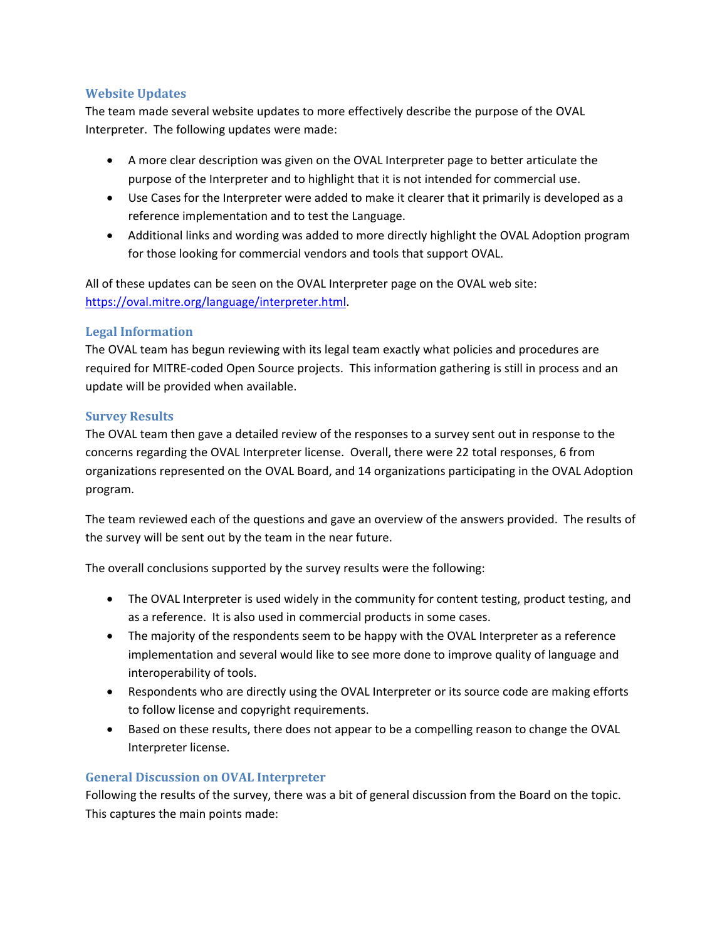#### **Website Updates**

The team made several website updates to more effectively describe the purpose of the OVAL Interpreter. The following updates were made:

- A more clear description was given on the OVAL Interpreter page to better articulate the purpose of the Interpreter and to highlight that it is not intended for commercial use.
- Use Cases for the Interpreter were added to make it clearer that it primarily is developed as a reference implementation and to test the Language.
- Additional links and wording was added to more directly highlight the OVAL Adoption program for those looking for commercial vendors and tools that support OVAL.

All of these updates can be seen on the OVAL Interpreter page on the OVAL web site: [https://oval.mitre.org/language/interpreter.html.](https://oval.mitre.org/language/interpreter.html)

#### **Legal Information**

The OVAL team has begun reviewing with its legal team exactly what policies and procedures are required for MITRE-coded Open Source projects. This information gathering is still in process and an update will be provided when available.

#### **Survey Results**

The OVAL team then gave a detailed review of the responses to a survey sent out in response to the concerns regarding the OVAL Interpreter license. Overall, there were 22 total responses, 6 from organizations represented on the OVAL Board, and 14 organizations participating in the OVAL Adoption program.

The team reviewed each of the questions and gave an overview of the answers provided. The results of the survey will be sent out by the team in the near future.

The overall conclusions supported by the survey results were the following:

- The OVAL Interpreter is used widely in the community for content testing, product testing, and as a reference. It is also used in commercial products in some cases.
- The majority of the respondents seem to be happy with the OVAL Interpreter as a reference implementation and several would like to see more done to improve quality of language and interoperability of tools.
- Respondents who are directly using the OVAL Interpreter or its source code are making efforts to follow license and copyright requirements.
- Based on these results, there does not appear to be a compelling reason to change the OVAL Interpreter license.

#### **General Discussion on OVAL Interpreter**

Following the results of the survey, there was a bit of general discussion from the Board on the topic. This captures the main points made: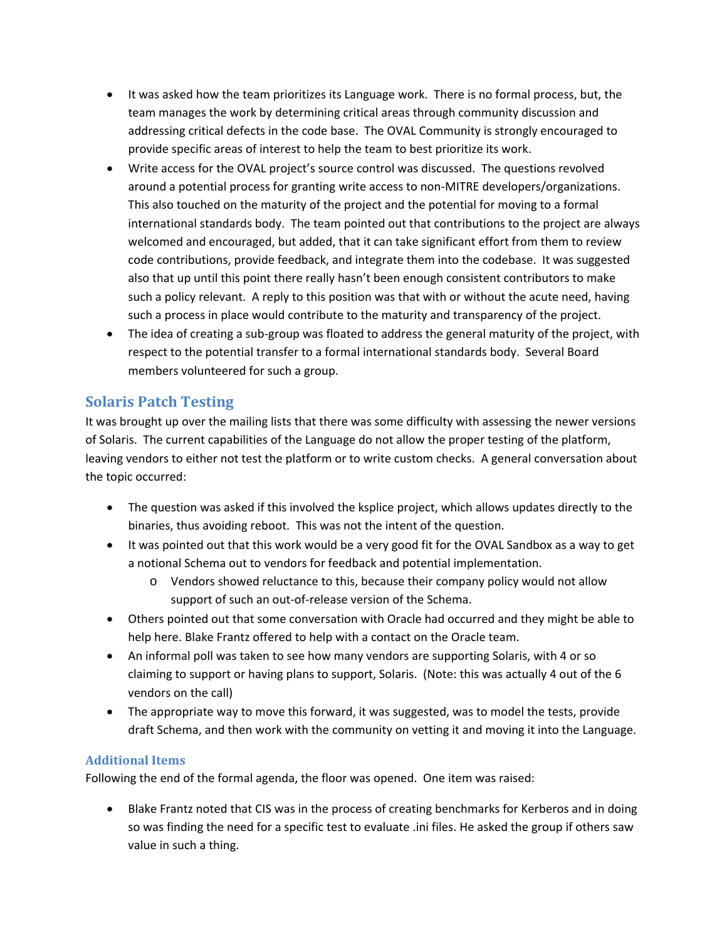- It was asked how the team prioritizes its Language work. There is no formal process, but, the team manages the work by determining critical areas through community discussion and addressing critical defects in the code base. The OVAL Community is strongly encouraged to provide specific areas of interest to help the team to best prioritize its work.
- Write access for the OVAL project's source control was discussed. The questions revolved around a potential process for granting write access to non-MITRE developers/organizations. This also touched on the maturity of the project and the potential for moving to a formal international standards body. The team pointed out that contributions to the project are always welcomed and encouraged, but added, that it can take significant effort from them to review code contributions, provide feedback, and integrate them into the codebase. It was suggested also that up until this point there really hasn't been enough consistent contributors to make such a policy relevant. A reply to this position was that with or without the acute need, having such a process in place would contribute to the maturity and transparency of the project.
- The idea of creating a sub-group was floated to address the general maturity of the project, with respect to the potential transfer to a formal international standards body. Several Board members volunteered for such a group.

# **Solaris Patch Testing**

It was brought up over the mailing lists that there was some difficulty with assessing the newer versions of Solaris. The current capabilities of the Language do not allow the proper testing of the platform, leaving vendors to either not test the platform or to write custom checks. A general conversation about the topic occurred:

- The question was asked if this involved the ksplice project, which allows updates directly to the binaries, thus avoiding reboot. This was not the intent of the question.
- It was pointed out that this work would be a very good fit for the OVAL Sandbox as a way to get a notional Schema out to vendors for feedback and potential implementation.
	- o Vendors showed reluctance to this, because their company policy would not allow support of such an out-of-release version of the Schema.
- Others pointed out that some conversation with Oracle had occurred and they might be able to help here. Blake Frantz offered to help with a contact on the Oracle team.
- An informal poll was taken to see how many vendors are supporting Solaris, with 4 or so claiming to support or having plans to support, Solaris. (Note: this was actually 4 out of the 6 vendors on the call)
- The appropriate way to move this forward, it was suggested, was to model the tests, provide draft Schema, and then work with the community on vetting it and moving it into the Language.

## **Additional Items**

Following the end of the formal agenda, the floor was opened. One item was raised:

• Blake Frantz noted that CIS was in the process of creating benchmarks for Kerberos and in doing so was finding the need for a specific test to evaluate .ini files. He asked the group if others saw value in such a thing.